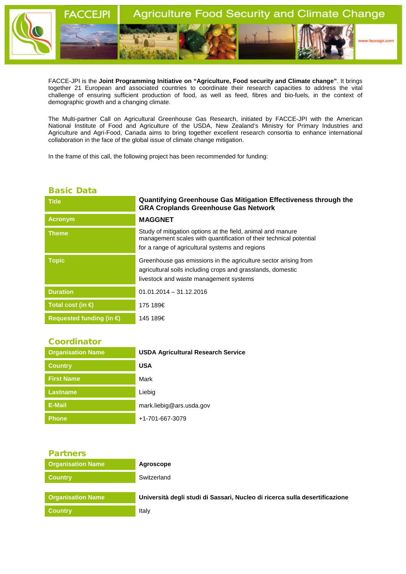

FACCE-JPI is the **Joint Programming Initiative on "Agriculture, Food security and Climate change"**. It brings together 21 European and associated countries to coordinate their research capacities to address the vital challenge of ensuring sufficient production of food, as well as feed, fibres and bio-fuels, in the context of demographic growth and a changing climate.

The Multi-partner Call on Agricultural Greenhouse Gas Research, initiated by FACCE-JPI with the American National Institute of Food and Agriculture of the USDA, New Zealand's Ministry for Primary Industries and Agriculture and Agri-Food, Canada aims to bring together excellent research consortia to enhance international collaboration in the face of the global issue of climate change mitigation.

In the frame of this call, the following project has been recommended for funding:

## Basic Data

| <b>Title</b>                      | Quantifying Greenhouse Gas Mitigation Effectiveness through the<br><b>GRA Croplands Greenhouse Gas Network</b>                                                                       |
|-----------------------------------|--------------------------------------------------------------------------------------------------------------------------------------------------------------------------------------|
| <b>Acronym</b>                    | <b>MAGGNET</b>                                                                                                                                                                       |
| <b>Theme</b>                      | Study of mitigation options at the field, animal and manure<br>management scales with quantification of their technical potential<br>for a range of agricultural systems and regions |
| <b>Topic</b>                      | Greenhouse gas emissions in the agriculture sector arising from<br>agricultural soils including crops and grasslands, domestic<br>livestock and waste management systems             |
| <b>Duration</b>                   | $01.01,2014 - 31,12,2016$                                                                                                                                                            |
| Total cost (in $\bigoplus$        | 175 189€                                                                                                                                                                             |
| Requested funding (in $\bigoplus$ | 145 189€                                                                                                                                                                             |

## **Coordinator**

| <b>Organisation Name</b> | <b>USDA Agricultural Research Service</b> |
|--------------------------|-------------------------------------------|
| <b>Country</b>           | <b>USA</b>                                |
| <b>First Name</b>        | Mark                                      |
| <b>Lastname</b>          | Liebig                                    |
| E-Mail                   | mark.liebig@ars.usda.gov                  |
| <b>Phone</b>             | +1-701-667-3079                           |

| <b>Partners</b>          |                                                                             |
|--------------------------|-----------------------------------------------------------------------------|
| <b>Organisation Name</b> | Agroscope                                                                   |
| <b>Country</b>           | Switzerland                                                                 |
| <b>Organisation Name</b> | Università degli studi di Sassari, Nucleo di ricerca sulla desertificazione |
| <b>Country</b>           | Italy                                                                       |